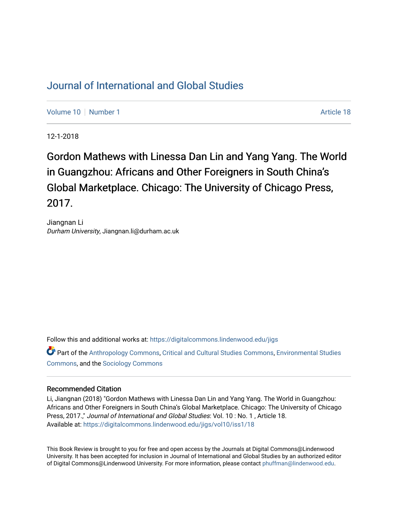## [Journal of International and Global Studies](https://digitalcommons.lindenwood.edu/jigs)

[Volume 10](https://digitalcommons.lindenwood.edu/jigs/vol10) [Number 1](https://digitalcommons.lindenwood.edu/jigs/vol10/iss1) Article 18

12-1-2018

Gordon Mathews with Linessa Dan Lin and Yang Yang. The World in Guangzhou: Africans and Other Foreigners in South China's Global Marketplace. Chicago: The University of Chicago Press, 2017.

Jiangnan Li Durham University, Jiangnan.li@durham.ac.uk

Follow this and additional works at: [https://digitalcommons.lindenwood.edu/jigs](https://digitalcommons.lindenwood.edu/jigs?utm_source=digitalcommons.lindenwood.edu%2Fjigs%2Fvol10%2Fiss1%2F18&utm_medium=PDF&utm_campaign=PDFCoverPages) 

Part of the [Anthropology Commons](http://network.bepress.com/hgg/discipline/318?utm_source=digitalcommons.lindenwood.edu%2Fjigs%2Fvol10%2Fiss1%2F18&utm_medium=PDF&utm_campaign=PDFCoverPages), [Critical and Cultural Studies Commons](http://network.bepress.com/hgg/discipline/328?utm_source=digitalcommons.lindenwood.edu%2Fjigs%2Fvol10%2Fiss1%2F18&utm_medium=PDF&utm_campaign=PDFCoverPages), [Environmental Studies](http://network.bepress.com/hgg/discipline/1333?utm_source=digitalcommons.lindenwood.edu%2Fjigs%2Fvol10%2Fiss1%2F18&utm_medium=PDF&utm_campaign=PDFCoverPages)  [Commons](http://network.bepress.com/hgg/discipline/1333?utm_source=digitalcommons.lindenwood.edu%2Fjigs%2Fvol10%2Fiss1%2F18&utm_medium=PDF&utm_campaign=PDFCoverPages), and the [Sociology Commons](http://network.bepress.com/hgg/discipline/416?utm_source=digitalcommons.lindenwood.edu%2Fjigs%2Fvol10%2Fiss1%2F18&utm_medium=PDF&utm_campaign=PDFCoverPages)

## Recommended Citation

Li, Jiangnan (2018) "Gordon Mathews with Linessa Dan Lin and Yang Yang. The World in Guangzhou: Africans and Other Foreigners in South China's Global Marketplace. Chicago: The University of Chicago Press, 2017.," Journal of International and Global Studies: Vol. 10 : No. 1 , Article 18. Available at: [https://digitalcommons.lindenwood.edu/jigs/vol10/iss1/18](https://digitalcommons.lindenwood.edu/jigs/vol10/iss1/18?utm_source=digitalcommons.lindenwood.edu%2Fjigs%2Fvol10%2Fiss1%2F18&utm_medium=PDF&utm_campaign=PDFCoverPages) 

This Book Review is brought to you for free and open access by the Journals at Digital Commons@Lindenwood University. It has been accepted for inclusion in Journal of International and Global Studies by an authorized editor of Digital Commons@Lindenwood University. For more information, please contact [phuffman@lindenwood.edu](mailto:phuffman@lindenwood.edu).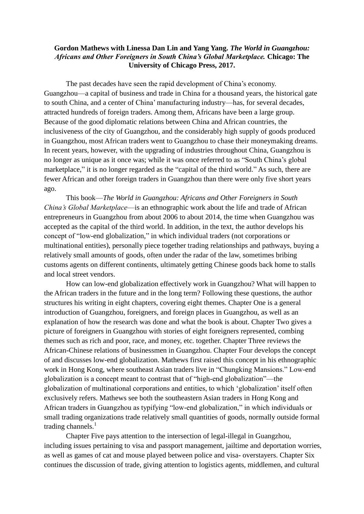## **Gordon Mathews with Linessa Dan Lin and Yang Yang.** *The World in Guangzhou: Africans and Other Foreigners in South China's Global Marketplace.* **Chicago: The University of Chicago Press, 2017.**

The past decades have seen the rapid development of China's economy. Guangzhou—a capital of business and trade in China for a thousand years, the historical gate to south China, and a center of China' manufacturing industry—has, for several decades, attracted hundreds of foreign traders. Among them, Africans have been a large group. Because of the good diplomatic relations between China and African countries, the inclusiveness of the city of Guangzhou, and the considerably high supply of goods produced in Guangzhou, most African traders went to Guangzhou to chase their moneymaking dreams. In recent years, however, with the upgrading of industries throughout China, Guangzhou is no longer as unique as it once was; while it was once referred to as "South China's global marketplace," it is no longer regarded as the "capital of the third world." As such, there are fewer African and other foreign traders in Guangzhou than there were only five short years ago.

This book—*The World in Guangzhou: Africans and Other Foreigners in South China's Global Marketplace*—is an ethnographic work about the life and trade of African entrepreneurs in Guangzhou from about 2006 to about 2014, the time when Guangzhou was accepted as the capital of the third world. In addition, in the text, the author develops his concept of "low-end globalization," in which individual traders (not corporations or multinational entities), personally piece together trading relationships and pathways, buying a relatively small amounts of goods, often under the radar of the law, sometimes bribing customs agents on different continents, ultimately getting Chinese goods back home to stalls and local street vendors.

How can low-end globalization effectively work in Guangzhou? What will happen to the African traders in the future and in the long term? Following these questions, the author structures his writing in eight chapters, covering eight themes. Chapter One is a general introduction of Guangzhou, foreigners, and foreign places in Guangzhou, as well as an explanation of how the research was done and what the book is about. Chapter Two gives a picture of foreigners in Guangzhou with stories of eight foreigners represented, combing themes such as rich and poor, race, and money, etc. together. Chapter Three reviews the African-Chinese relations of businessmen in Guangzhou. Chapter Four develops the concept of and discusses low-end globalization. Mathews first raised this concept in his ethnographic work in Hong Kong, where southeast Asian traders live in "Chungking Mansions." Low-end globalization is a concept meant to contrast that of "high-end globalization"—the globalization of multinational corporations and entities, to which 'globalization' itself often exclusively refers. Mathews see both the southeastern Asian traders in Hong Kong and African traders in Guangzhou as typifying "low-end globalization," in which individuals or small trading organizations trade relatively small quantities of goods, normally outside formal trading channels. $<sup>1</sup>$ </sup>

Chapter Five pays attention to the intersection of legal-illegal in Guangzhou, including issues pertaining to visa and passport management, jailtime and deportation worries, as well as games of cat and mouse played between police and visa- overstayers. Chapter Six continues the discussion of trade, giving attention to logistics agents, middlemen, and cultural